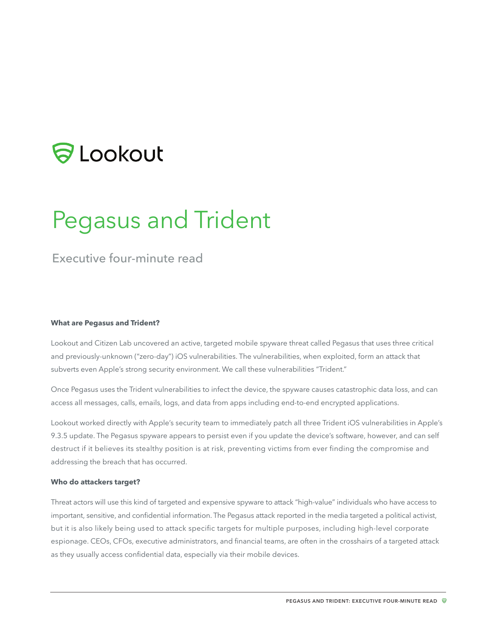# **SLookout**

# Pegasus and Trident

# Executive four-minute read

#### **What are Pegasus and Trident?**

Lookout and Citizen Lab uncovered an active, targeted mobile spyware threat called Pegasus that uses three critical and previously-unknown ("zero-day") iOS vulnerabilities. The vulnerabilities, when exploited, form an attack that subverts even Apple's strong security environment. We call these vulnerabilities "Trident."

Once Pegasus uses the Trident vulnerabilities to infect the device, the spyware causes catastrophic data loss, and can access all messages, calls, emails, logs, and data from apps including end-to-end encrypted applications.

Lookout worked directly with Apple's security team to immediately patch all three Trident iOS vulnerabilities in Apple's 9.3.5 update. The Pegasus spyware appears to persist even if you update the device's software, however, and can self destruct if it believes its stealthy position is at risk, preventing victims from ever finding the compromise and addressing the breach that has occurred.

#### **Who do attackers target?**

Threat actors will use this kind of targeted and expensive spyware to attack "high-value" individuals who have access to important, sensitive, and confidential information. The Pegasus attack reported in the media targeted a political activist, but it is also likely being used to attack specific targets for multiple purposes, including high-level corporate espionage. CEOs, CFOs, executive administrators, and financial teams, are often in the crosshairs of a targeted attack as they usually access confidential data, especially via their mobile devices.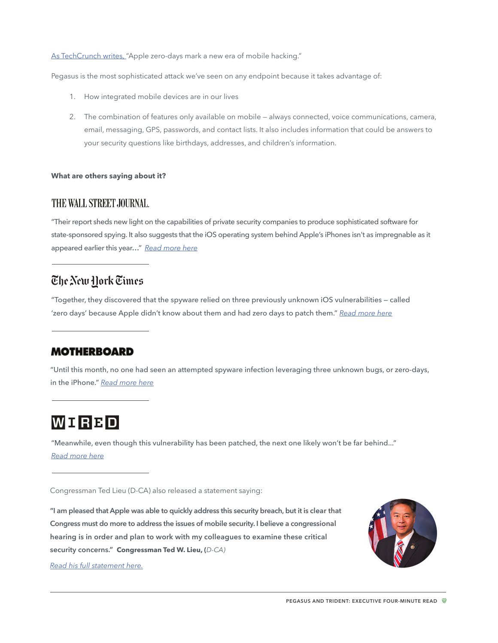[As TechCrunch writes,](https://techcrunch.com/2016/08/25/apple-zero-days-hacking/https://techcrunch.com/2016/08/25/apple-zero-days-hacking/) "Apple zero-days mark a new era of mobile hacking."

Pegasus is the most sophisticated attack we've seen on any endpoint because it takes advantage of:

- 1. How integrated mobile devices are in our lives
- 2. The combination of features only available on mobile always connected, voice communications, camera, email, messaging, GPS, passwords, and contact lists. It also includes information that could be answers to your security questions like birthdays, addresses, and children's information.

# **What are others saying about it?**

# THE WALL STREET JOURNAL.

"Their report sheds new light on the capabilities of private security companies to produce sophisticated software for state-sponsored spying. It also suggests that the iOS operating system behind Apple's iPhones isn't as impregnable as it appeared earlier this year…" *R[ead more here](http://www.wsj.com/articles/firm-manipulated-iphone-software-to-allow-spying-report-says-1472149087)*

# The New Hork Times

"Together, they discovered that the spyware relied on three previously unknown iOS vulnerabilities — called 'zero days' because Apple didn't know about them and had zero days to patch them." *R[ead more here](http://www.nytimes.com/2016/08/26/technology/apple-software-vulnerability-ios-patch.html?_r=1)*

# **MOTHERBOARD**

"Until this month, no one had seen an attempted spyware infection leveraging three unknown bugs, or zero-days, in the iPhone." *[Read more here](https://motherboard.vice.com/read/government-hackers-iphone-hacking-jailbreak-nso-group)*

# WIRBD

"Meanwhile, even though this vulnerability has been patched, the next one likely won't be far behind..." *[Read more here](https://www.wired.com/2016/08/hacking-group-selling-ios-vulnerabilities-state-actors/)*

Congressman Ted Lieu (D-CA) also released a statement saying:

**"I am pleased that Apple was able to quickly address this security breach, but it is clear that Congress must do more to address the issues of mobile security. I believe a congressional hearing is in order and plan to work with my colleagues to examine these critical security concerns." Congressman Ted W. Lieu, (***D-CA)*



*[Read his full statement here.](https://blog.lookout.com/blog/2016/08/30/congressman-lieu-trident-pegasus/)*